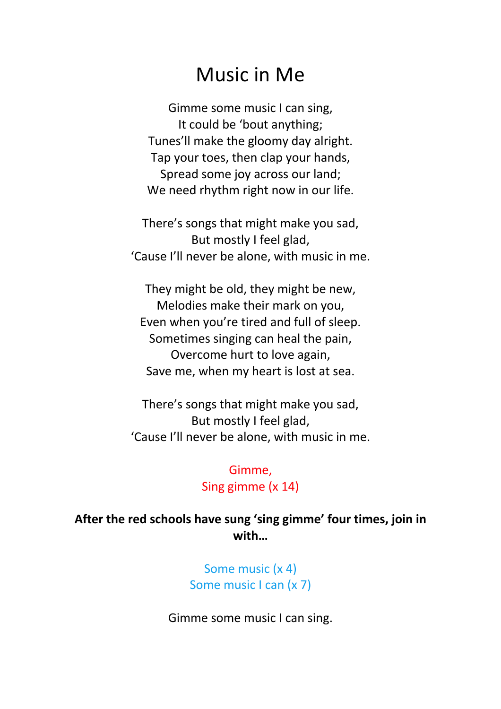## Music in Me

Gimme some music I can sing, It could be 'bout anything; Tunes'll make the gloomy day alright. Tap your toes, then clap your hands, Spread some joy across our land: We need rhythm right now in our life.

There's songs that might make you sad, But mostly I feel glad, 'Cause I'll never be alone, with music in me.

They might be old, they might be new, Melodies make their mark on you, Even when you're tired and full of sleep. Sometimes singing can heal the pain, Overcome hurt to love again, Save me, when my heart is lost at sea.

There's songs that might make you sad, But mostly I feel glad, 'Cause I'll never be alone, with music in me.

> Gimme, Sing gimme (x 14)

## **After the red schools have sung 'sing gimme' four times, join in with…**

Some music (x 4) Some music I can (x 7)

Gimme some music I can sing.